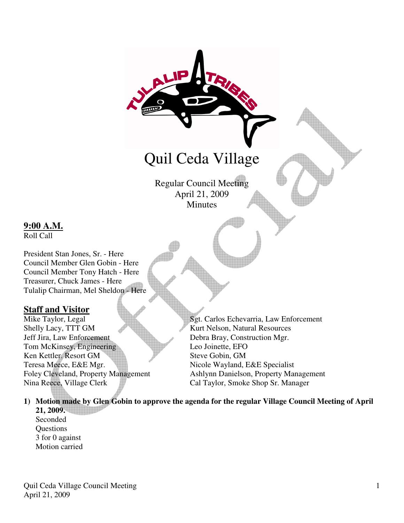

Regular Council Meeting April 21, 2009 **Minutes** 

## **9:00 A.M.**

Roll Call

President Stan Jones, Sr. - Here Council Member Glen Gobin - Here Council Member Tony Hatch - Here Treasurer, Chuck James - Here Tulalip Chairman, Mel Sheldon - Here

**Staff and Visitor**<br>Mike Taylor, Legal Shelly Lacy, TTT GM Kurt Nelson, Natural Resources Jeff Jira, Law Enforcement Debra Bray, Construction Mgr. Tom McKinsey, Engineering Leo Joinette, EFO Ken Kettler. Resort GM Steve Gobin, GM Teresa Meece, E&E Mgr. Nicole Wayland, E&E Specialist Nina Reece, Village Clerk Cal Taylor, Smoke Shop Sr. Manager

Sgt. Carlos Echevarria, Law Enforcement Foley Cleveland, Property Management Ashlynn Danielson, Property Management

## **1) Motion made by Glen Gobin to approve the agenda for the regular Village Council Meeting of April**

**21, 2009.**  Seconded **Questions** 3 for 0 against Motion carried

Quil Ceda Village Council Meeting April 21, 2009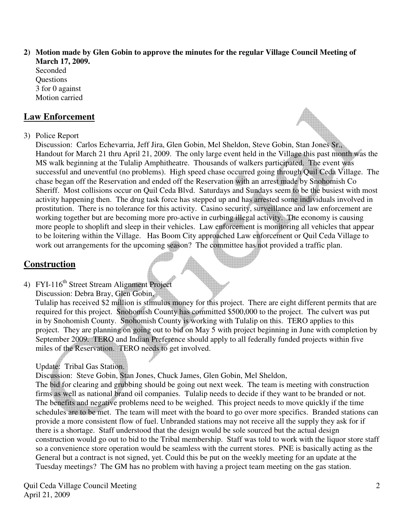**2) Motion made by Glen Gobin to approve the minutes for the regular Village Council Meeting of March 17, 2009.** 

Seconded **Ouestions** 3 for 0 against Motion carried

## **Law Enforcement**

### 3) Police Report

Discussion: Carlos Echevarria, Jeff Jira, Glen Gobin, Mel Sheldon, Steve Gobin, Stan Jones Sr., Handout for March 21 thru April 21, 2009. The only large event held in the Village this past month was the MS walk beginning at the Tulalip Amphitheatre. Thousands of walkers participated. The event was successful and uneventful (no problems). High speed chase occurred going through Quil Ceda Village. The chase began off the Reservation and ended off the Reservation with an arrest made by Snohomish Co Sheriff. Most collisions occur on Quil Ceda Blvd. Saturdays and Sundays seem to be the busiest with most activity happening then. The drug task force has stepped up and has arrested some individuals involved in prostitution. There is no tolerance for this activity. Casino security, surveillance and law enforcement are working together but are becoming more pro-active in curbing illegal activity. The economy is causing more people to shoplift and sleep in their vehicles. Law enforcement is monitoring all vehicles that appear to be loitering within the Village. Has Boom City approached Law enforcement or Quil Ceda Village to work out arrangements for the upcoming season? The committee has not provided a traffic plan.

# **Construction**

# 4) FYI-116<sup>th</sup> Street Stream Alignment Project

Discussion: Debra Bray, Glen Gobin,

 Tulalip has received \$2 million is stimulus money for this project. There are eight different permits that are required for this project. Snohomish County has committed \$500,000 to the project. The culvert was put in by Snohomish County. Snohomish County is working with Tulalip on this. TERO applies to this project. They are planning on going out to bid on May 5 with project beginning in June with completion by September 2009. TERO and Indian Preference should apply to all federally funded projects within five miles of the Reservation. TERO needs to get involved.

## Update: Tribal Gas Station.

Discussion: Steve Gobin, Stan Jones, Chuck James, Glen Gobin, Mel Sheldon,

 The bid for clearing and grubbing should be going out next week. The team is meeting with construction firms as well as national brand oil companies. Tulalip needs to decide if they want to be branded or not. The benefits and negative problems need to be weighed. This project needs to move quickly if the time schedules are to be met. The team will meet with the board to go over more specifics. Branded stations can provide a more consistent flow of fuel. Unbranded stations may not receive all the supply they ask for if there is a shortage. Staff understood that the design would be sole sourced but the actual design construction would go out to bid to the Tribal membership. Staff was told to work with the liquor store staff so a convenience store operation would be seamless with the current stores. PNE is basically acting as the General but a contract is not signed, yet. Could this be put on the weekly meeting for an update at the Tuesday meetings? The GM has no problem with having a project team meeting on the gas station.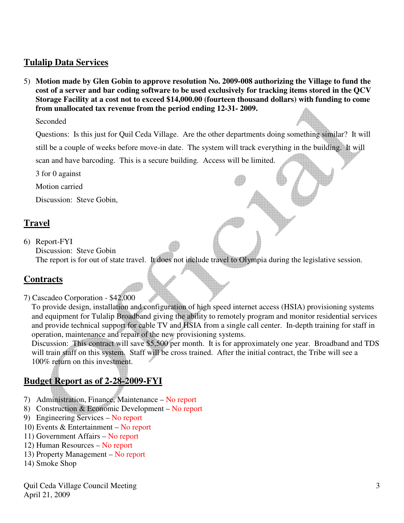## **Tulalip Data Services**

5) **Motion made by Glen Gobin to approve resolution No. 2009-008 authorizing the Village to fund the cost of a server and bar coding software to be used exclusively for tracking items stored in the QCV Storage Facility at a cost not to exceed \$14,000.00 (fourteen thousand dollars) with funding to come from unallocated tax revenue from the period ending 12-31- 2009.**

Seconded

 Questions: Is this just for Quil Ceda Village. Are the other departments doing something similar? It will still be a couple of weeks before move-in date. The system will track everything in the building. It will scan and have barcoding. This is a secure building. Access will be limited.

3 for 0 against

Motion carried

Discussion: Steve Gobin,

## **Travel**

6) Report-FYI Discussion: Steve Gobin The report is for out of state travel. It does not include travel to Olympia during the legislative session.

## **Contracts**

7) Cascadeo Corporation - \$42,000

 To provide design, installation and configuration of high speed internet access (HSIA) provisioning systems and equipment for Tulalip Broadband giving the ability to remotely program and monitor residential services and provide technical support for cable TV and HSIA from a single call center. In-depth training for staff in operation, maintenance and repair of the new provisioning systems.

 Discussion: This contract will save \$5,500 per month. It is for approximately one year. Broadband and TDS will train staff on this system. Staff will be cross trained. After the initial contract, the Tribe will see a 100% return on this investment.

## **Budget Report as of 2-28-2009-FYI**

- 7) Administration, Finance, Maintenance No report
- 8) Construction & Economic Development No report
- 9) Engineering Services No report
- 10) Events & Entertainment No report
- 11) Government Affairs No report
- 12) Human Resources No report
- 13) Property Management No report
- 14) Smoke Shop

Quil Ceda Village Council Meeting April 21, 2009